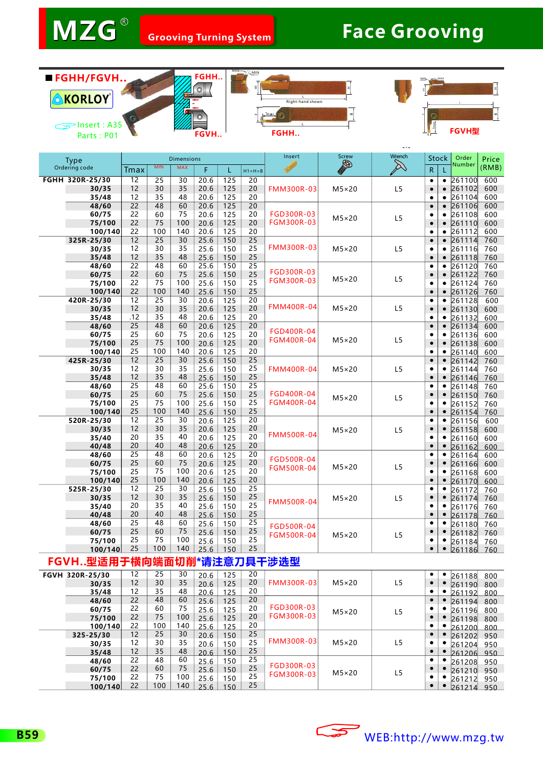$\sim$  w  $\sim$ 









| <b>Type</b> |                          |                        |                        | <b>Dimensions</b> |              |            |                       | Insert                          | Screw          | Wrench         | <b>Stock</b>                             | Order            | Price      |
|-------------|--------------------------|------------------------|------------------------|-------------------|--------------|------------|-----------------------|---------------------------------|----------------|----------------|------------------------------------------|------------------|------------|
|             | Ordering code            | Tmax                   | <b>MIN</b>             | <b>MAX</b>        | F            |            | $H1 = H = B$          |                                 | B              | $\boxtimes$    | R.                                       | Number           | (RMB)      |
|             | FGHH 320R-25/30          | $\overline{12}$        | 25                     | $\overline{30}$   | 20.6         | 125        | $\overline{20}$       |                                 |                |                | $\bullet$<br>٠                           | 261100           | 600        |
|             | 30/35                    | 12                     | 30                     | 35                | 20.6         | 125        | 20                    | <b>FMM300R-03</b>               | $M5\times20$   | L5             | $\bullet$<br>$\bullet$                   | 261102           | 600        |
|             | 35/48                    | 12                     | 35                     | 48                | 20.6         | 125        | 20                    |                                 |                |                | $\bullet$<br>$\bullet$                   | 261104           | 600        |
|             | 48/60                    | $\overline{22}$        | 48                     | 60                | 20.6         | 125        | $\overline{20}$       |                                 |                |                | $\bullet$<br>$\bullet$                   | 261106           | 600        |
|             | 60/75                    | 22                     | 60                     | 75                | 20.6         | 125        | 20                    | FGD300R-03                      | $M5\times20$   | L5             | ٠<br>٠                                   | 261108           | 600        |
| 75/100      |                          | 22                     | 75                     | 100               | 20.6         | 125        | 20                    | <b>FGM300R-03</b>               |                |                | $\bullet$<br>$\bullet$                   | 261110           | 600        |
|             | 100/140<br>325R-25/30    | 22<br>12               | 100<br>$\overline{25}$ | 140<br>30         | 20.6<br>25.6 | 125<br>150 | 20<br>$\overline{25}$ |                                 |                |                | $\bullet$<br>$\bullet$<br>$\bullet$      | 261112<br>261114 | 600        |
|             | 30/35                    | 12                     | 30                     | 35                | 25.6         | 150        | 25                    | <b>FMM300R-03</b>               | $M5\times20$   | L <sub>5</sub> | $\bullet$<br>$\bullet$<br>٠              | 261116           | 760<br>760 |
|             | 35/48                    | 12                     | 35                     | 48                | 25.6         | 150        | 25                    |                                 |                |                | $\bullet$<br>$\bullet$                   | 261118           | 760        |
|             | 48/60                    | $\overline{22}$        | 48                     | 60                | 25.6         | 150        | $\overline{25}$       |                                 |                |                | $\bullet$<br>$\bullet$                   | 261120           | 760        |
|             | 60/75                    | 22                     | 60                     | 75                | 25.6         | 150        | 25                    | FGD300R-03                      |                |                | $\bullet$<br>$\bullet$                   | 261122           | 760        |
|             | 75/100                   | 22                     | 75                     | 100               | 25.6         | 150        | 25                    | <b>FGM300R-03</b>               | $M5\times20$   | L5             | $\bullet$<br>$\bullet$                   | 261124           | 760        |
|             | 100/140                  | 22                     | 100                    | 140               | 25.6         | 150        | 25                    |                                 |                |                | $\bullet$<br>$\bullet$                   | 261126           | 760        |
|             | 420R-25/30               | $\overline{12}$        | $\overline{25}$        | $\overline{30}$   | 20.6         | 125        | $\overline{20}$       |                                 |                |                | $\bullet$<br>۰                           | 261128           | 600        |
|             | 30/35                    | 12                     | 30                     | 35                | 20.6         | 125        | 20                    | <b>FMM400R-04</b>               | $M5\times20$   | L <sub>5</sub> | $\bullet$<br>$\bullet$                   | 261130           | 600        |
|             | 35/48                    | .12<br>$\overline{25}$ | 35                     | 48                | 20.6         | 125        | 20<br>$\overline{20}$ |                                 |                |                | $\bullet$<br>٠                           | 261132           | 600        |
|             | 48/60<br>60/75           | 25                     | 48<br>60               | 60<br>75          | 20.6<br>20.6 | 125<br>125 | 20                    | FGD400R-04                      | $M5\times20$   |                | $\bullet$<br>$\bullet$<br>٠<br>٠         | 261134           | 600        |
|             | 75/100                   | 25                     | 75                     | 100               | 20.6         | 125        | 20                    | <b>FGM400R-04</b>               |                | L5             | $\bullet$<br>$\bullet$                   | 261136<br>261138 | 600<br>600 |
|             | 100/140                  | 25                     | 100                    | 140               | 20.6         | 125        | 20                    |                                 |                |                | $\bullet$<br>۰                           | 261140           | 600        |
|             | 425R-25/30               | 12                     | $\overline{25}$        | 30                | 25.6         | 150        | $\overline{25}$       |                                 |                |                | $\bullet$<br>$\bullet$                   | 261142           | 760        |
|             | 30/35                    | 12                     | 30                     | 35                | 25.6         | 150        | 25                    | <b>FMM400R-04</b>               | $M5\times20$   | L5             | ٠<br>٠                                   | 261144           | 760        |
|             | 35/48                    | 12                     | 35                     | 48                | 25.6         | 150        | 25                    |                                 |                |                | $\bullet$<br>$\bullet$                   | 261146           | 760        |
|             | 48/60                    | $\overline{25}$        | 48                     | 60                | 25.6         | 150        | $\overline{25}$       |                                 |                |                | ٠<br>٠                                   | 261148           | 760        |
|             | 60/75                    | 25                     | 60                     | 75                | 25.6         | 150        | 25                    | FGD400R-04                      | $M5\times20$   | L5             | $\bullet$<br>$\bullet$                   | 261150           | 760        |
|             | 75/100                   | 25                     | 75                     | 100               | 25.6         | 150        | 25                    | <b>FGM400R-04</b>               |                |                | ٠<br>٠                                   | 261152           | 760        |
|             | 100/140                  | 25                     | 100                    | 140               | 25.6         | 150        | 25                    |                                 |                |                | $\bullet$<br>$\bullet$                   | 261154           | 760        |
|             | 520R-25/30               | 12<br>12               | $\overline{25}$<br>30  | 30<br>35          | 20.6         | 125        | $\overline{20}$<br>20 | <b>FMM500R-04</b>               |                |                | $\bullet$<br>٠<br>$\bullet$<br>$\bullet$ | 261156           | 600        |
|             | 30/35<br>35/40           | 20                     | 35                     | 40                | 20.6<br>20.6 | 125<br>125 | 20                    |                                 | $M5\times20$   | L5             | ٠<br>٠                                   | 261158           | 600<br>600 |
|             | 40/48                    | 20                     | 40                     | 48                | 20.6         | 125        | 20                    |                                 |                |                | $\bullet$<br>$\bullet$                   | 261160<br>261162 | 600        |
|             | 48/60                    | 25                     | 48                     | 60                | 20.6         | 125        | 20                    | FGD500R-04<br><b>FGM500R-04</b> |                |                | $\bullet$<br>٠                           | 261164           | 600        |
|             | 60/75                    | 25                     | 60                     | 75                | 20.6         | 125        | 20                    |                                 | $M5\times20$   | L <sub>5</sub> | $\bullet$<br>$\bullet$                   | 261166           | 600        |
|             | 75/100                   | 25                     | 75                     | 100               | 20.6         | 125        | 20                    |                                 |                |                | ٠<br>٠                                   | 261168           | 600        |
|             | 100/140                  | 25                     | 100                    | 140               | 20.6         | 125        | 20                    |                                 |                |                | $\bullet$                                | 261170           | 600        |
|             | 525R-25/30               | 12                     | 25                     | 30                | 25.6         | 150        | $\overline{25}$       |                                 |                |                | $\bullet$<br>٠                           | 261172           | 760        |
|             | 30/35                    | 12                     | 30                     | 35                | 25.6         | 150        | 25<br>25              | <b>FMM500R-04</b>               | $M5\times20$   | L5             | $\bullet$<br>٠                           | 261174           | 760        |
|             | 35/40                    | 20<br>20               | 35<br>40               | 40<br>48          | 25.6         | 150        | 25                    |                                 |                |                | ٠<br>٠<br>$\bullet$                      | 261176           | 760        |
|             | 40/48<br>48/60           | 25                     | 48                     | 60                | 25.6<br>25.6 | 150<br>150 | $\overline{25}$       |                                 |                |                | $\bullet$<br>٠                           | 261178<br>261180 | 760<br>760 |
|             | 60/75                    | 25                     | 60                     | 75                | 25.6         | 150        | 25                    | FGD500R-04                      |                |                | $\bullet$<br>$\bullet$                   | 261182           | 760        |
|             | 75/100                   | 25                     | 75                     | 100               | 25.6         | 150        | 25                    | <b>FGM500R-04</b>               | $M5 \times 20$ | L5             | ٠                                        | 261184           | 760        |
|             | 100/140                  | 25                     | 100                    | 140               | 25.6         | 150        | 25                    |                                 |                |                | $\bullet$<br>$\bullet$                   | 261186           | 760        |
|             | FGVH型适用于横向端面切削*请注意刀具干涉选型 |                        |                        |                   |              |            |                       |                                 |                |                |                                          |                  |            |
|             | FGVH 320R-25/30          | 12                     | 25                     | 30                | 20.6         | 125        | 20                    |                                 |                |                | ٠<br>٠                                   | 261188           | 800        |
|             | 30/35                    | 12                     | 30                     | 35                | 20.6         | 125        | 20                    | <b>FMM300R-03</b>               | $M5\times20$   | L5             | $\bullet$<br>$\bullet$                   | 261190           | 800        |
|             | 35/48                    | 12                     | 35                     | 48                | 20.6         | 125        | 20                    |                                 |                |                | $\bullet$<br>٠                           | 261192           | 800        |
|             | 48/60                    | 22                     | 48                     | 60                | 25.6         | 125        | 20                    |                                 |                |                | $\bullet$<br>$\bullet$                   | 261194           | 800        |
|             | 60/75                    | 22                     | 60                     | 75                | 25.6         | 125        | 20                    | FGD300R-03                      | $M5\times20$   | L <sub>5</sub> | ٠                                        | 261196           | 800        |
|             | 75/100                   | 22                     | 75                     | 100               | 25.6         | 125        | 20                    | <b>FGM300R-03</b>               |                |                | $\bullet$<br>$\bullet$                   | 261198           | 800        |
|             | 100/140                  | 22                     | 100<br>25              | 140<br>30         | 25.6         | 125        | 20<br>25              |                                 |                |                | ٠<br>٠<br>$\bullet$                      | 261200           | 800        |
|             | 325-25/30                | 12<br>12               | 30                     | 35                | 20.6         | 150        | 25                    | <b>FMM300R-03</b>               | $M5\times20$   | L5             | $\bullet$<br>٠                           | 261202           | 950        |
|             | 30/35<br>35/48           | 12                     | 35                     | 48                | 20.6<br>20.6 | 150<br>150 | 25                    |                                 |                |                | $\bullet$<br>$\bullet$                   | 261204           | 950        |
|             | 48/60                    | 22                     | 48                     | 60                | 25.6         | 150        | 25                    |                                 |                |                | ٠<br>٠                                   | 261206           | 950<br>950 |
|             | 60/75                    | 22                     | 60                     | 75                | 25.6         | 150        | 25                    | FGD300R-03                      |                |                | $\bullet$<br>٠                           | 261208<br>261210 | 950        |
|             | 75/100                   | 22                     | 75                     | 100               | 25.6         | 150        | 25                    | <b>FGM300R-03</b>               | $M5\times20$   | L5             | ٠<br>٠                                   | 261212           | 950        |
|             |                          | 22                     | 100                    | 110               |              |            | つに                    |                                 |                |                |                                          |                  |            |



   

 

 

25.6 25.6  

   

 **100/140**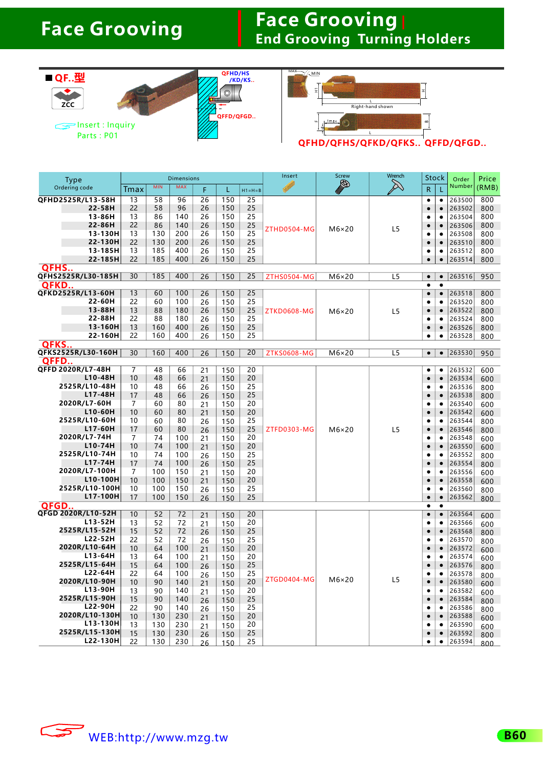#### **Face Grooving End Grooving Turning Holders**

|                                  |          |            |                   |          | QFHD/HS    |                    | MAX<br>$\sim$ MIN     |              |                               |                |                        |                  |                |
|----------------------------------|----------|------------|-------------------|----------|------------|--------------------|-----------------------|--------------|-------------------------------|----------------|------------------------|------------------|----------------|
| ■ QF型                            |          |            |                   |          |            | /KD/KS             |                       |              |                               |                |                        |                  |                |
|                                  |          |            | т                 | O        |            | 뒼                  |                       |              | 피                             |                |                        |                  |                |
| ZCC                              |          |            |                   |          |            |                    | L<br>Right-hand shown |              |                               |                |                        |                  |                |
|                                  |          |            |                   |          | QFFD/QFGD  |                    |                       | . Tm a×      |                               |                |                        |                  |                |
| $\mathbb{S}$ lnsert : Inquiry    |          |            |                   |          |            |                    |                       |              |                               | $\bigg $       |                        |                  |                |
| Parts: P01                       |          |            |                   |          |            |                    |                       |              | QFHD/QFHS/QFKD/QFKS QFFD/QFGD |                |                        |                  |                |
|                                  |          |            |                   |          |            |                    |                       |              |                               |                |                        |                  |                |
|                                  |          |            |                   |          |            |                    |                       |              |                               |                |                        |                  |                |
|                                  |          |            | <b>Dimensions</b> |          |            |                    | Insert                | <b>Screw</b> | Wrench                        | Stock          |                        |                  |                |
| <b>Type</b><br>Ordering code     | Tmax     | <b>MIN</b> | <b>MAX</b>        | F        | L          |                    |                       | B            |                               | R              |                        | Order<br>Number  | Price<br>(RMB) |
| QFHD2525R/L13-58H                | 13       | 58         | 96                | 26       | 150        | $H1 = H = B$<br>25 |                       |              |                               | $\bullet$      | ٠                      | 263500           | 800            |
| 22-58H                           | 22       | 58         | 96                | 26       | 150        | 25                 |                       |              |                               | $\bullet$      | $\bullet$              | 263502           | 800            |
| 13-86H                           | 13       | 86         | 140               | 26       | 150        | 25                 |                       |              |                               | ٠              |                        | 263504           | 800            |
| 22-86H                           | 22       | 86         | 140               | 26       | 150        | 25                 | ZTHD0504-MG           | $M6\times20$ | L5                            | ٠              | $\bullet$              | 263506           | 800            |
| 13-130H<br>22-130H               | 13<br>22 | 130        | 200               | 26       | 150        | 25<br>25           |                       |              |                               | ٠              | ٠                      | 263508<br>263510 | 800            |
| 13-185H                          | 13       | 130<br>185 | 200<br>400        | 26<br>26 | 150<br>150 | 25                 |                       |              |                               | $\bullet$<br>٠ | $\bullet$<br>٠         | 263512           | 800<br>800     |
| 22-185H                          | 22       | 185        | 400               | 26       | 150        | 25                 |                       |              |                               | ٠              | $\bullet$              | 263514           | 800            |
| <b>QFHS</b>                      |          |            |                   |          |            |                    |                       |              |                               |                |                        |                  |                |
| QFHS2525R/L30-185H               | 30       | 185        | 400               | 26       | 150        | 25                 | ZTHS0504-MG           | $M6\times20$ | L <sub>5</sub>                | $\bullet$      | $\bullet$              | 263516           | 950            |
| <b>OFKD</b><br>QFKD2525R/L13-60H | 13       | 60         | 100               | 26       | 150        | 25                 |                       |              |                               | ٠<br>$\bullet$ | $\bullet$<br>$\bullet$ | 263518           | 800            |
| 22-60H                           | 22       | 60         | 100               | 26       | 150        | 25                 |                       |              |                               | ٠              |                        | 263520           | 800            |
| 13-88H                           | 13       | 88         | 180               | 26       | 150        | 25                 | ZTKD0608-MG           | $M6\times20$ | L5                            | $\bullet$      | $\bullet$              | 263522           | 800            |
| 22-88H                           | 22       | 88         | 180               | 26       | 150        | 25                 |                       |              |                               | ٠              | ٠                      | 263524           | 800            |
| 13-160H                          | 13       | 160        | 400               | 26       | 150        | 25                 |                       |              |                               | ٠              | ٠                      | 263526           | 800            |
| 22-160H<br><b>QFKS</b>           | 22       | 160        | 400               | 26       | 150        | 25                 |                       |              |                               | ٠              | ٠                      | 263528           | 800            |
| QFKS2525R/L30-160H               | 30       | 160        | 400               | 26       | 150        | 20                 | <b>ZTKS0608-MG</b>    | $M6\times20$ | L <sub>5</sub>                | $\bullet$      | $\bullet$              | 263530           | 950            |
| <b>QFFD</b>                      |          |            |                   |          |            |                    |                       |              |                               |                |                        |                  |                |
| QFFD 2020R/L7-48H                | 7        | 48         | 66                | 21       | 150        | 20                 |                       |              |                               | ٠              | ٠                      | 263532           | 600            |
| L10-48H<br>2525R/L10-48H         | 10<br>10 | 48<br>48   | 66<br>66          | 21<br>26 | 150<br>150 | 20<br>25           |                       |              |                               | $\bullet$<br>٠ | $\bullet$              | 263534<br>263536 | 600<br>800     |
| L17-48H                          | 17       | 48         | 66                | 26       | 150        | 25                 |                       |              |                               | $\bullet$      | $\bullet$              | 263538           | 800            |
| 2020R/L7-60H                     | 7        | 60         | 80                | 21       | 150        | 20                 |                       |              |                               | ٠              | ٠                      | 263540           | 600            |
| L10-60H                          | 10       | 60         | 80                | 21       | 150        | 20                 |                       |              |                               | $\bullet$      | $\bullet$              | 263542           | 600            |
| 2525R/L10-60H                    | 10       | 60         | 80                | 26       | 150        | 25                 |                       |              |                               | ٠              |                        | 263544           | 800            |
| L17-60H<br>2020R/L7-74H          | 17<br>7  | 60<br>74   | 80<br>100         | 26<br>21 | 150<br>150 | 25<br>20           | ZTFD0303-MG           | $M6\times20$ | L <sub>5</sub>                | $\bullet$<br>٠ | $\bullet$<br>٠         | 263546<br>263548 | 800            |
| L10-74H                          | 10       | 74         | 100               | 21       | 150        | 20                 |                       |              |                               | $\bullet$      | $\bullet$              | 263550           | 600<br>600     |
| 2525R/L10-74H                    | 10       | 74         | 100               | 26       | 150        | 25                 |                       |              |                               | ٠              |                        | 263552           | 800            |
| L17-74H                          | 17       | 74         | 100               | 26       | 150        | 25                 |                       |              |                               |                | ٠                      | 263554           | 800            |
| 2020R/L7-100H                    | 7        | 100        | 150               | 21       | 150        | 20                 |                       |              |                               | ٠              | ٠                      | 263556           | 600            |
| L10-100H<br>2525R/L10-100H       | 10<br>10 | 100<br>100 | 150<br>150        | 21       | 150        | 20<br>25           |                       |              |                               | $\bullet$<br>٠ | $\bullet$<br>٠         | 263558<br>263560 | 600            |
| L17-100H                         | 17       | 100        | 150               | 26<br>26 | 150<br>150 | 25                 |                       |              |                               | $\bullet$      | $\bullet$              | 263562           | 800<br>800     |
| <b>OFGD</b>                      |          |            |                   |          |            |                    |                       |              |                               | ٠              | ٠                      |                  |                |
| QFGD 2020R/L10-52H               | 10       | 52         | 72                | 21       | 150        | 20                 |                       |              |                               | $\bullet$      | $\bullet$              | 263564           | 600            |
| $L13 - 52H$                      | 13       | 52         | 72                | 21       | 150        | 20                 |                       |              |                               | ٠              | ٠                      | 263566           | 600            |
| 2525R/L15-52H<br>L22-52H         | 15<br>22 | 52<br>52   | 72<br>72          | 26       | 150<br>150 | 25<br>25           |                       |              |                               | $\bullet$<br>٠ | $\bullet$<br>٠         | 263568<br>263570 | 800            |
| 2020R/L10-64H                    | 10       | 64         | 100               | 26<br>21 | 150        | 20                 |                       |              |                               | $\bullet$      | $\bullet$              | 263572           | 800<br>600     |
| L13-64H                          | 13       | 64         | 100               | 21       | 150        | 20                 |                       |              |                               | ٠              | ٠                      | 263574           | 600            |
| 2525R/L15-64H                    | 15       | 64         | 100               | 26       | 150        | 25                 |                       |              |                               | $\bullet$      | $\bullet$              | 263576           | 800            |
| L22-64H<br>2020R/L10-90H         | 22       | 64         | 100               | 26       | 150        | 25                 | ZTGD0404-MG           | $M6\times20$ | L <sub>5</sub>                | ٠<br>$\bullet$ | ٠<br>$\bullet$         | 263578           | 800            |
| L13-90H                          | 10<br>13 | 90<br>90   | 140<br>140        | 21<br>21 | 150<br>150 | 20<br>20           |                       |              |                               | ٠              | ٠                      | 263580<br>263582 | 600            |
| 2525R/L15-90H                    | 15       | 90         | 140               | 26       | 150        | 25                 |                       |              |                               | $\bullet$      | $\bullet$              | 263584           | 600<br>800     |
| L22-90H                          | 22       | 90         | 140               | 26       | 150        | 25                 |                       |              |                               | ٠              | ٠                      | 263586           | 800            |
| 2020R/L10-130H                   | 10       | 130        | 230               | 21       | 150        | 20                 |                       |              |                               | $\bullet$      | $\bullet$              | 263588           | 600            |
| L13-130H<br>2525R/L15-130H       | 13       | 130        | 230               | 21       | 150        | 20                 |                       |              |                               | ٠              | ٠                      | 263590           | 600            |
| L22-130H                         | 15<br>22 | 130<br>130 | 230<br>230        | 26       | 150        | 25<br>25           |                       |              |                               | $\bullet$<br>٠ | $\bullet$<br>٠         | 263592<br>263594 | 800            |
|                                  |          |            |                   | 26       | 150        |                    |                       |              |                               |                |                        |                  | 800            |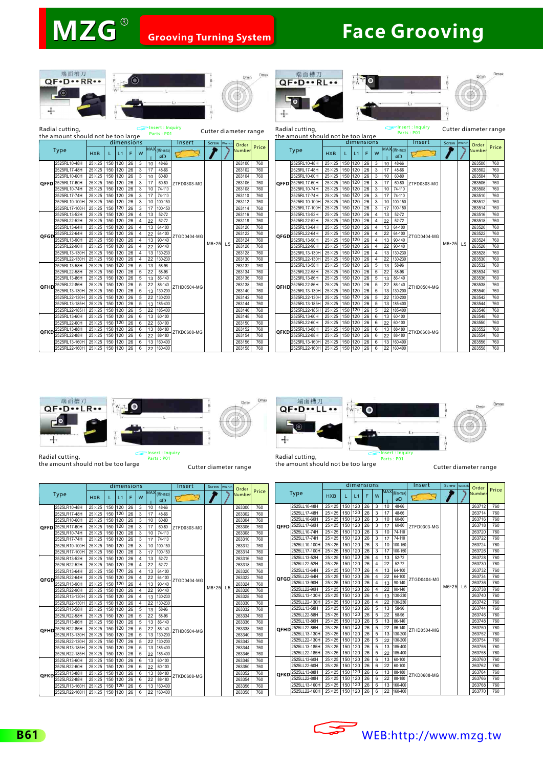Insert: Inq







Type

**QFFD**

**QFGD**

**QFHI** 

**QFKD** 



Insert : Inquiry<br>Parts : P01







г





Radial cutting, the amount should not be too large

Cutter diameter range

Radial cutting, the amount should not be too large

Cutter diameter range

| l cutting,                     |                |         |            |              |                |                 | ∟ <del>s</del> msert, mquny<br>Parts: P01 |             |              |        | Cutter diameter range |       |                                    | Radial cutting                 |                        |         |            |     |              |                 |                                                  | Parts: P01  |              |        | Cutter diameter rand |       |
|--------------------------------|----------------|---------|------------|--------------|----------------|-----------------|-------------------------------------------|-------------|--------------|--------|-----------------------|-------|------------------------------------|--------------------------------|------------------------|---------|------------|-----|--------------|-----------------|--------------------------------------------------|-------------|--------------|--------|----------------------|-------|
| nount should not be too large  |                |         |            |              |                |                 |                                           |             |              |        |                       |       | the amount should not be too large |                                |                        |         |            |     |              |                 |                                                  |             |              |        |                      |       |
|                                |                |         | dimensions |              |                |                 |                                           | Insert      | Screw Wrench |        | Order                 |       |                                    |                                |                        |         | dimensions |     |              |                 |                                                  | Insert      | Screw Wrench |        | Order                |       |
| <b>Type</b>                    | <b>HXB</b>     |         | L1         | F            | W              |                 | $MAX$ (Min-max)<br>øD                     |             |              | Number |                       | Price |                                    | Type                           | <b>HXB</b>             |         | L1         | F.  | W            |                 | $\overline{\text{MAX}}_{(\text{Min-max})}$<br>ØD |             |              |        | <b>Number</b>        | Price |
| 2525RL10-48H                   | $25\times25$   |         | 150 120 26 |              | 3              | 10              | 48-66                                     |             |              |        | 263100                | 760   |                                    | 2525RL10-48H                   | $25\times25$           |         | 150 120 26 |     | 3            | 10              | 48-66                                            |             |              |        | 263500               | 760   |
| 2525RL17-48H                   | $25\times25$   |         | 150 120    | 26           | 3              |                 | 48-66                                     |             |              |        | 263102                | 760   |                                    | 2525RL17-48H                   | $25\times25$           | 150 120 |            | 26  | $\mathbf{3}$ | 17              | 48-66                                            |             |              |        | 263502               | 760   |
| 2525RL10-60H                   | $25\times25$   |         | 150 120    | $ 26\rangle$ | 3              | 10              | 60-80                                     |             |              |        | 263104                | 760   |                                    | 2525RL10-60H                   | $25\times25$           | 150 120 |            | 26  | $\mathbf{3}$ | 10              | 60-80                                            |             |              |        | 263504               | 760   |
| 2525RL17-60H                   | $25\times25$   |         | 150 120    | $ 26\rangle$ | 3              | 17              | 60-80                                     | ZTFD0303-MG |              |        | 263106                | 760   |                                    | <b>OFFD</b> 2525RL17-60H       | $25\times25$           | 150 120 |            | 26  | -3           | 17              | 60-80                                            | ZTFD0303-MG |              |        | 263506               | 760   |
| 2525RL10-74H                   | $25\times25$   |         | 150 120 26 |              | 3              | 10              | 74-110                                    |             |              |        | 263108                | 760   |                                    | 2525RL10-74H                   | $25\times25$           | 150 120 |            | 26  | $\mathbf{3}$ | 10              | 74-110                                           |             |              |        | 263508               | 760   |
| 2525RL17-74H                   | $25\times25$   |         | 150 120    | 26           | 3              | 17              | 74-110                                    |             |              |        | 263110                | 760   |                                    | 2525RL17-74H                   | $25\times25$           | 150 120 |            | 26  | $\mathbf{3}$ | 17              | 74-110                                           |             | M6*25 L5     |        | 263510               | 760   |
| 2525RL10-100H                  | $25 \times 25$ |         | 150 120    | 26           | 3              | 10              | 100-150                                   |             |              |        | 263112                | 760   |                                    | 2525RL10-100H                  | $25\times25$           | 150 120 |            | 26  | 3            | 10              | 100-150                                          |             |              |        | 263512               | 760   |
| 2525RL17-100H                  | $25\times25$   |         | 150 120    | 26           | 3              | 17              | 100-150                                   |             |              |        | 263114                | 760   |                                    | 2525RL17-100H                  | $25\times25$           | 150 120 |            | 26  | 3            | 17              | 100-150                                          |             |              |        | 263514               | 760   |
| 2525RL13-52H                   | $25\times25$   |         | 150 120 26 |              | $\mathbf{A}$   | 13              | 52-72                                     |             |              |        | 263116                | 760   |                                    | 2525RL13-52H                   | $25 \times 25$ 150 120 |         |            | 26  |              | 13              | $52 - 72$                                        |             |              |        | 263516               | 760   |
| 2525RL22-52H                   | $25\times25$   |         | 150 120    | 26           | $\Delta$       | 22              | 52-72                                     |             |              |        | 263118                | 760   |                                    | 2525RL22-52H                   | $25\times25$           | 150 120 |            | 26  |              | 22              | $52 - 72$                                        | ZTGD0404-MG |              |        | 263518               | 760   |
| 2525RL13-64H                   | $25\times25$   |         | 150 120    | 26           |                | 13              | 64-100                                    |             | M6*25 L5     |        | 263120                | 760   |                                    | 2525RL13-64H                   | $25\times25$           | 150 120 |            | 26  |              | 13              | 64-100                                           |             |              |        | 263520               | 760   |
| 2525RL22-64H                   | $25\times25$   |         | 150 120 26 |              | $\mathbf{A}$   | 22              | 64-100                                    | ZTGD0404-MG |              |        | 263122                | 760   |                                    | QFGD 2525RL22-64H              | $25\times25$           | 150 120 |            | 26  |              | 22              | 64-100                                           |             |              |        | 263522               | 760   |
| 2525RL13-90H                   | $25\times25$   |         | 150 120 26 |              |                |                 | 90-140                                    |             |              |        | 263124                | 760   |                                    | 2525RL13-90H                   | $25\times25$           | 150 120 |            | 26  |              | 13              | $90 - 140$                                       |             |              |        | 263524               | 760   |
| 2525RL22-90H                   | $25\times25$   | 150 120 |            | 26           |                | 22              | 90-140                                    |             |              |        | 263126                | 760   |                                    | 2525RL22-90H                   | $25\times25$           | 150 120 |            | 26  |              | 22              | 90-140                                           |             |              |        | 263526               | 760   |
| 2525RL13-130H                  | $25\times25$   |         | 150 120    | $ 26\rangle$ | $\overline{4}$ | 13              | 130-230                                   |             |              |        | 263128                | 760   |                                    | 2525RL13-130H                  | $25 \times 25$ 150 120 |         |            | 26  |              | 13              | 130-230                                          |             |              |        | 263528               | 760   |
| 2525RL22-130H                  | $25\times25$   |         | 150 120 26 |              | $\overline{a}$ | 22              | 130-230                                   |             |              |        | 263130                | 760   |                                    | 2525RL22-130H                  | $25 \times 25$ 150 120 |         |            | 26  |              | 22              | 130-230                                          |             |              |        | 263530               | 760   |
| 2525RL13-58H                   | $25\times25$   |         | 150 120    | 26           | 5              | 13              | 58-96                                     |             |              |        | 263132                | 760   |                                    | 2525RL13-58H                   | $25 \times 25$ 150 120 |         |            | 26  | 5            | 13              | 58-96                                            |             |              |        | 263532               | 760   |
| 2525RL22-58H                   | $25\times25$   |         | 150 120    | 26           | 5              | 22              | 58-96                                     |             |              |        | 263134                | 760   |                                    | 2525RL22-58H                   | $25\times25$           | 150 120 |            | 26  | -5           | 22              | 58-96                                            |             |              |        | 263534               | 760   |
| 2525RL13-86H                   | $25\times25$   |         | 150 120    | $ 26\rangle$ | 5              | 13              | 86-140                                    |             |              |        | 263136                | 760   |                                    | 2525RL13-86H                   | $25\times 25$          | 150 120 |            | 26  | $\sqrt{5}$   | 13              | 86-140                                           |             |              |        | 263536               | 760   |
| 2525RL22-86H                   | $25\times25$   |         | 150 120 26 |              | $5^{\circ}$    | 22              | 86-140                                    | ZTHD0504-MG |              |        | 263138                | 760   |                                    | QFHD <sup>2525RL22-86H</sup>   | $25\times25$           | 150 120 |            | 26  | -5           | 22              | 86-140                                           | ZTHD0504-MG |              |        | 263538               | 760   |
| 2525RL13-130H                  | $25\times25$   |         | 150 120    | 26           | 5              | 13              | 130-20                                    |             |              |        | 263140                | 760   |                                    | 2525RL13-130H                  | $25\times25$           |         | 150 120    | 26  |              | 13              | 130-200                                          |             |              |        | 263540               | 760   |
| 2525RL22-130H                  | $25\times25$   |         | 150 120    | $ 26\rangle$ | 5              | $\overline{22}$ | 130-200                                   |             |              |        | 263142                | 760   |                                    | 2525RL22-130H                  | $25 \times 25$ 150 120 |         |            | 26  | -5           | $\overline{22}$ | 130-200                                          |             |              |        | 263542               | 760   |
| 2525RL13-185H                  | $25\times25$   |         | 150 120    | 126          | 5              | 13              | 185-400                                   |             |              |        | 263144                | 760   |                                    | 2525RL13-185H                  | $25 \times 25$ 150 120 |         |            | 26  | 5            | 13              | 185-400                                          |             |              |        | 263544               | 760   |
| 2525RL22-185H                  | $25\times25$   |         | 150 120 26 |              | 5              | 22              | 185-400                                   |             |              |        | 263146                | 760   |                                    | 2525RL22-185H                  | $25 \times 25$ 150 120 |         |            | 26  | -5           | 22              | 185-400                                          |             |              |        | 263546               | 760   |
| 2525RL13-60H                   | $25\times25$   |         | 150 120    | 26           | 6              | 13              | 60-100                                    |             |              |        | 263148                | 760   |                                    | 2525RL13-60H                   | $25\times25$           | 150 120 |            | 26  | -6           | 13              | 60-100                                           |             |              |        | 263548               | 760   |
| 2525RL22-60H                   | $25\times25$   |         | 150 120 26 |              | 6              | 22              | 60-100                                    |             |              |        | 263150                | 760   |                                    | 2525RL22-60H                   | $25 \times 25$ 150 120 |         |            | 26  | 6            | 22              | 60-100                                           |             |              |        | 263550               | 760   |
| 2525RL13-88H                   | $25\times25$   |         | 150 120 26 |              | 6              | 13              | 88-180                                    | ZTKD0608-MG |              |        | 263152                | 760   |                                    | QFKD 2525RL13-88H              | $25\times25$           | 150 120 |            | 26  | 6            | 13              | 88-180                                           |             |              |        | 263552               | 760   |
| 2525RL22-88H                   | $25\times 25$  |         | 150 120 26 |              | 6              | 22              | 88-180                                    |             |              |        | 263154                | 760   | 2525RL22-88H                       | $25 \times 25$ 150 120 26      |                        |         |            | - 6 | 22           | 88-180          | ZTKD0608-MG                                      |             |              | 263554 | 760                  |       |
| 2525RL13-160H                  | $25\times25$   | 150 120 |            | 26           | 6              | 13              | 160-400                                   |             |              |        | 263156                | 760   |                                    | 2525RL13-160H                  | $25\times25$           | 150 120 |            | 26  | 6            | 13              | 160-400                                          |             |              |        | 263556               | 760   |
| 2525RL22-160H 25×25 150 120 26 |                |         |            |              | 6              | 22              | 160-400                                   |             |              |        | 263158                | 760   |                                    | 2525RL22-160H 25×25 150 120 26 |                        |         |            |     | 6            | 22              | 160-400                                          |             |              |        | 263558               | 760   |
|                                |                |         |            |              |                |                 |                                           |             |              |        |                       |       |                                    |                                |                        |         |            |     |              |                 |                                                  |             |              |        |                      |       |



Radial cutting, the amount should not be too large

Insert : Inquiry<br>Parts : P01







Radial cutting, the amount should not be too large Cutter diameter range Cutter diameter range

|             |                          |               |     | dimensions |    |                         |    |                                         | Insert      | Screw Wrench |                | Order  |       |
|-------------|--------------------------|---------------|-----|------------|----|-------------------------|----|-----------------------------------------|-------------|--------------|----------------|--------|-------|
|             | <b>Type</b>              |               | L   | L1         | F  | W                       | т  | $\overline{\text{MAX}}$ (Min-max)<br>ØD |             |              |                | Number | Price |
|             | 2525LR10-48H             | $25\times25$  | 150 | 120        | 26 | 3                       | 10 | 48-66                                   |             |              |                | 263300 | 760   |
|             | 2525LR17-48H             | $25\times25$  | 150 | 120        | 26 | 3                       | 17 | 48-66                                   | ZTFD0303-MG |              |                | 263302 | 760   |
|             | 2525LR10-60H             | $25\times 25$ | 150 | 120        | 26 | 3                       | 10 | 60-80                                   |             |              |                | 263304 | 760   |
|             | <b>QFFD</b> 2525LR17-60H | $25\times25$  | 150 | 120        | 26 | 3                       | 17 | 60-80                                   |             |              |                | 263306 | 760   |
|             | 2525LR10-74H             | $25\times25$  | 150 | 120        | 26 | 3                       | 10 | 74-110                                  |             |              |                | 263308 | 760   |
|             | 2525LR17-74H             | $25\times25$  | 150 | 120        | 26 | 3                       | 17 | 74-110                                  |             |              |                | 263310 | 760   |
|             | 2525LR10-100H            | $25\times25$  | 150 | 120        | 26 | 3                       | 10 | 100-150                                 |             |              |                | 263312 | 760   |
|             | 2525LR17-100H            | $25\times25$  | 150 | 120        | 26 | 3                       | 17 | 100-150                                 |             |              |                | 263314 | 760   |
|             | 2525LR13-52H             | $25\times25$  | 150 | 120        | 26 | 4                       | 13 | 52-72                                   |             |              |                | 263316 | 760   |
|             | 2525LR22-52H             | $25\times 25$ | 150 | 120        | 26 | $\overline{\mathbf{4}}$ | 22 | 52-72                                   | ZTGD0404-MG |              |                | 263318 | 760   |
|             | 2525LR13-64H             | $25\times25$  | 150 | 120        | 26 | $\overline{4}$          | 13 | 64-100                                  |             | M6*25        |                | 263320 | 760   |
| OFGD        | 2525LR22-64H             | $25\times25$  | 150 | 120        | 26 | $\overline{\mathbf{4}}$ | 22 | 64-100                                  |             |              |                | 263322 | 760   |
|             | 2525LR13-90H             | $25\times25$  | 150 | 120        | 26 | 4                       | 13 | 90-140                                  |             |              |                | 263324 | 760   |
|             | 2525LR22-90H             | $25\times 25$ | 150 | 120        | 26 | $\overline{4}$          | 22 | 90-140                                  |             |              | L <sub>5</sub> | 263326 | 760   |
|             | 2525LR13-130H            | $25\times25$  | 150 | 120        | 26 | $\overline{4}$          | 13 | 130-230                                 |             |              |                | 263328 | 760   |
|             | 2525LR22-130H            | $25\times25$  | 150 | 120        | 26 | 4                       | 22 | 130-230                                 |             |              |                | 263330 | 760   |
|             | 2525LR13-58H             | $25\times 25$ | 150 | 120        | 26 | 5                       | 13 | 58-96                                   |             |              |                | 263332 | 760   |
|             | 2525LR22-58H             | $25\times 25$ | 150 | 120        | 26 | 5                       | 22 | 58-96                                   |             |              |                | 263334 | 760   |
|             | 2525LR13-86H             | $25\times 25$ | 150 | 120        | 26 | 5                       | 13 | 86-140                                  |             |              |                | 263336 | 760   |
| OFHD        | 2525LR22-86H             | $25\times25$  | 150 | 120        | 26 | 5                       | 22 | 86-140                                  | ZTHD0504-MG |              |                | 263338 | 760   |
|             | 2525LR13-130H            | $25\times 25$ | 150 | 120        | 26 | 5                       | 13 | 130-200                                 |             |              |                | 263340 | 760   |
|             | 2525LR22-130H            | $25\times25$  | 150 | 120        | 26 | 5                       | 22 | 130-200                                 |             |              |                | 263342 | 760   |
|             | 2525LR13-185H            | $25\times25$  | 150 | 120        | 26 | 5                       | 13 | 185-400                                 |             |              |                | 263344 | 760   |
|             | 2525LR22-185H            | $25\times25$  | 150 | 120        | 26 | 5                       | 22 | 185-400                                 |             |              |                | 263346 | 760   |
|             | 2525LR13-60H             | $25\times25$  | 150 | 120        | 26 | 6                       | 13 | 60-100                                  |             |              |                | 263348 | 760   |
|             | 2525LR22-60H             | $25\times25$  | 150 | 120        | 26 | 6                       | 22 | 60-100                                  |             |              |                | 263350 | 760   |
| <b>OFKD</b> | 2525LR13-88H             | $25\times25$  | 150 | 120        | 26 | 6                       | 13 | 88-180                                  |             |              |                | 263352 | 760   |
|             | 2525LR22-88H             | $25\times25$  | 150 | 120        | 26 | 6                       | 22 | 88-180                                  | ZTKD0608-MG |              |                | 263354 | 760   |
|             | 2525LR13-160H            | $25\times25$  | 150 | 120        | 26 | 6                       | 13 | 160-400                                 |             |              |                | 263356 | 760   |
|             | 2525LR22-160H            | $25\times25$  | 150 | 120        | 26 | 6                       | 22 | 160-400                                 |             |              |                | 263358 | 760   |

|             |                          |               |                  | dimensions |    |                |    |                                               | Insert      | Screw Wrench |                | Order  |       |
|-------------|--------------------------|---------------|------------------|------------|----|----------------|----|-----------------------------------------------|-------------|--------------|----------------|--------|-------|
|             | Type                     | <b>HXB</b>    | L                | L1         | F  | W              | т  | $\mathsf{MAX}(\mathsf{Min\text{-}max})$<br>ØD |             |              |                | Number | Price |
|             | 2525LL10-48H             | $25\times25$  | 150              | 120        | 26 | 3              | 10 | 48-66                                         |             |              |                | 263712 | 760   |
|             | 2525LL17-48H             | $25\times25$  | 150              | 120        | 26 | 3              | 17 | 48-66                                         |             |              |                | 263714 | 760   |
|             | 2525LL10-60H             | $25\times25$  | 150              | 120        | 26 | 3              | 10 | 60-80                                         |             |              |                | 263716 | 760   |
|             | <b>QFFD</b> 2525LL17-60H | $25\times25$  | 150 <sub>1</sub> | 120        | 26 | 3              | 17 | 60-80                                         | ZTFD0303-MG |              |                | 263718 | 760   |
|             | 2525LL10-74H             | $25\times25$  | 150              | 120        | 26 | 3              | 10 | 74-110                                        |             |              |                | 263720 | 760   |
|             | 2525LL17-74H             | $25\times 25$ | 150              | 120        | 26 | 3              | 17 | 74-110                                        |             |              |                | 263722 | 760   |
|             | 2525LL10-100H            | $25\times25$  | 150              | 120        | 26 | 3              | 10 | 100-150                                       |             |              |                | 263724 | 760   |
|             | 2525LL17-100H            | $25\times 25$ | 150              | 120        | 26 | 3              | 17 | 100-150                                       |             |              |                | 263726 | 760   |
|             | 2525LL13-52H             | $25\times25$  | 150 <sub>1</sub> | 120        | 26 | 4              | 13 | 52-72                                         |             |              |                | 263728 | 760   |
|             | 2525LL22-52H             | $25\times25$  | 150              | 120        | 26 | $\overline{4}$ | 22 | 52-72                                         |             |              |                | 263730 | 760   |
|             | 2525LL13-64H             | $25\times25$  | 150              | 120        | 26 | 4              | 13 | 64-100                                        |             |              |                | 263732 | 760   |
| <b>QFGD</b> | 2525LL22-64H             | $25\times25$  | 150              | 120        | 26 | $\overline{4}$ | 22 | 64-100                                        | ZTGD0404-MG | M6*25        |                | 263734 | 760   |
|             | 2525LL13-90H             | $25\times 25$ | 150              | 120        | 26 | 4              | 13 | 90-140                                        |             |              |                | 263736 | 760   |
|             | 2525LL22-90H             | $25\times25$  | 150              | 120        | 26 | $\overline{4}$ | 22 | 90-140                                        |             |              | L <sub>5</sub> | 263738 | 760   |
|             | 2525LL13-130H            | $25\times 25$ | 150              | 120        | 26 | $\overline{4}$ | 13 | 130-230                                       |             |              |                | 263740 | 760   |
|             | 2525LL22-130H            | $25\times25$  | 150              | 120        | 26 | $\overline{4}$ | 22 | 130-230                                       |             |              |                | 263742 | 760   |
|             | 2525LL13-58H             | $25\times25$  | 150              | 120        | 26 | 5              | 13 | 58-96                                         |             |              |                | 263744 | 760   |
|             | 2525LL22-58H             | $25\times25$  | 150              | 120        | 26 | 5              | 22 | 58-96                                         |             |              |                | 263746 | 760   |
|             | 2525LL13-86H             | $25\times25$  | 150              | 120        | 26 | 5              | 13 | 86-140                                        |             |              |                | 263748 | 760   |
| <b>OFHD</b> | 2525LL22-86H             | $25\times25$  | 150              | 120        | 26 | 5              | 22 | 86-140                                        | ZTHD0504-MG |              |                | 263750 | 760   |
|             | 2525LL13-130H            | $25\times25$  | 150              | 120        | 26 | 5              | 13 | 130-200                                       |             |              |                | 263752 | 760   |
|             | 2525LL22-130H            | $25\times25$  | 150              | 120        | 26 | 5              | 22 | 130-200                                       |             |              |                | 263754 | 760   |
|             | 2525LL13-185H            | $25\times 25$ | 150              | 120        | 26 | 5              | 13 | 185-400                                       |             |              |                | 263756 | 760   |
|             | 2525LL22-185H            | $25\times 25$ | 150              | 120        | 26 | 5              | 22 | 185-400                                       |             |              |                | 263758 | 760   |
|             | 2525LL13-60H             | $25\times25$  | 150              | 120        | 26 | 6              | 13 | 60-100                                        |             |              |                | 263760 | 760   |
|             | 2525LL22-60H             | $25\times25$  | 150              | 120        | 26 | 6              | 22 | 60-100                                        |             |              |                | 263762 | 760   |
| <b>OFKD</b> | 2525LL13-88H             | $25\times25$  | 150              | 120        | 26 | 6              | 13 | 88-180                                        | ZTKD0608-MG |              |                | 263764 | 760   |
|             | 2525LL22-88H             | $25\times25$  | 150              | 120        | 26 | 6              | 22 | 88-180                                        |             |              |                | 263766 | 760   |
|             | 2525LL13-160H            | $25\times25$  | 150              | 120        | 26 | 6              | 13 | 160-400                                       |             |              |                | 263768 | 760   |
|             | 2525LL22-160H            | $25\times25$  | 150              | 120        | 26 | 6              | 22 | 160-400                                       |             |              |                | 263770 | 760   |